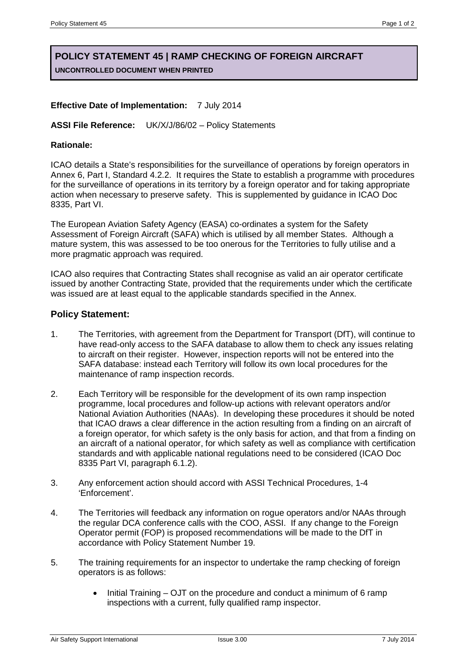# **POLICY STATEMENT 45 | RAMP CHECKING OF FOREIGN AIRCRAFT UNCONTROLLED DOCUMENT WHEN PRINTED**

## **Effective Date of Implementation:** 7 July 2014

#### **ASSI File Reference:** UK/X/J/86/02 – Policy Statements

#### **Rationale:**

ICAO details a State's responsibilities for the surveillance of operations by foreign operators in Annex 6, Part I, Standard 4.2.2. It requires the State to establish a programme with procedures for the surveillance of operations in its territory by a foreign operator and for taking appropriate action when necessary to preserve safety. This is supplemented by guidance in ICAO Doc 8335, Part VI.

The European Aviation Safety Agency (EASA) co-ordinates a system for the Safety Assessment of Foreign Aircraft (SAFA) which is utilised by all member States. Although a mature system, this was assessed to be too onerous for the Territories to fully utilise and a more pragmatic approach was required.

ICAO also requires that Contracting States shall recognise as valid an air operator certificate issued by another Contracting State, provided that the requirements under which the certificate was issued are at least equal to the applicable standards specified in the Annex.

### **Policy Statement:**

- 1. The Territories, with agreement from the Department for Transport (DfT), will continue to have read-only access to the SAFA database to allow them to check any issues relating to aircraft on their register. However, inspection reports will not be entered into the SAFA database: instead each Territory will follow its own local procedures for the maintenance of ramp inspection records.
- 2. Each Territory will be responsible for the development of its own ramp inspection programme, local procedures and follow-up actions with relevant operators and/or National Aviation Authorities (NAAs). In developing these procedures it should be noted that ICAO draws a clear difference in the action resulting from a finding on an aircraft of a foreign operator, for which safety is the only basis for action, and that from a finding on an aircraft of a national operator, for which safety as well as compliance with certification standards and with applicable national regulations need to be considered (ICAO Doc 8335 Part VI, paragraph 6.1.2).
- 3. Any enforcement action should accord with ASSI Technical Procedures, 1-4 'Enforcement'.
- 4. The Territories will feedback any information on rogue operators and/or NAAs through the regular DCA conference calls with the COO, ASSI. If any change to the Foreign Operator permit (FOP) is proposed recommendations will be made to the DfT in accordance with Policy Statement Number 19.
- 5. The training requirements for an inspector to undertake the ramp checking of foreign operators is as follows:
	- Initial Training OJT on the procedure and conduct a minimum of 6 ramp inspections with a current, fully qualified ramp inspector.